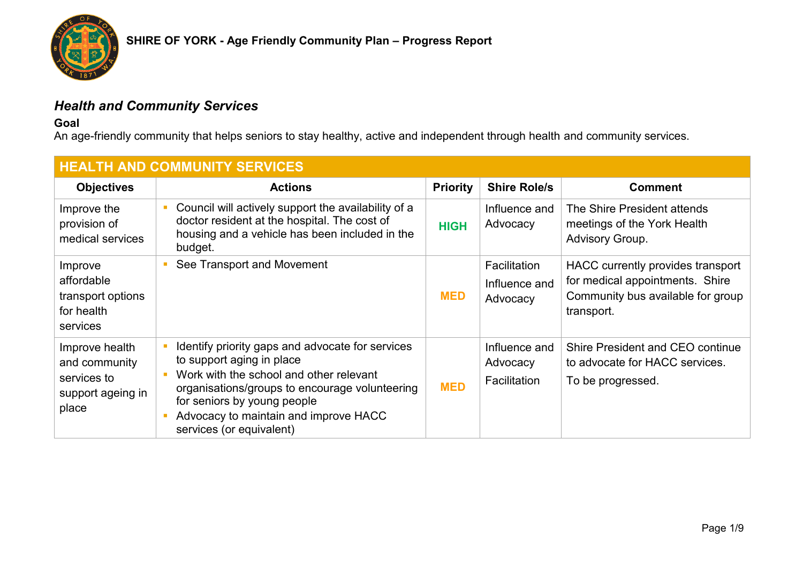

# *Health and Community Services*

**Goal**

An age-friendly community that helps seniors to stay healthy, active and independent through health and community services.

| <b>HEALTH AND COMMUNITY SERVICES</b>                                         |                                                                                                                                                                                                                                                                                |                 |                                           |                                                                                                                         |  |
|------------------------------------------------------------------------------|--------------------------------------------------------------------------------------------------------------------------------------------------------------------------------------------------------------------------------------------------------------------------------|-----------------|-------------------------------------------|-------------------------------------------------------------------------------------------------------------------------|--|
| <b>Objectives</b>                                                            | <b>Actions</b>                                                                                                                                                                                                                                                                 | <b>Priority</b> | <b>Shire Role/s</b>                       | <b>Comment</b>                                                                                                          |  |
| Improve the<br>provision of<br>medical services                              | Council will actively support the availability of a<br>doctor resident at the hospital. The cost of<br>housing and a vehicle has been included in the<br>budget.                                                                                                               | <b>HIGH</b>     | Influence and<br>Advocacy                 | The Shire President attends<br>meetings of the York Health<br>Advisory Group.                                           |  |
| Improve<br>affordable<br>transport options<br>for health<br>services         | See Transport and Movement                                                                                                                                                                                                                                                     | <b>MED</b>      | Facilitation<br>Influence and<br>Advocacy | HACC currently provides transport<br>for medical appointments. Shire<br>Community bus available for group<br>transport. |  |
| Improve health<br>and community<br>services to<br>support ageing in<br>place | Identify priority gaps and advocate for services<br>to support aging in place<br>Work with the school and other relevant<br>organisations/groups to encourage volunteering<br>for seniors by young people<br>Advocacy to maintain and improve HACC<br>services (or equivalent) | <b>MED</b>      | Influence and<br>Advocacy<br>Facilitation | Shire President and CEO continue<br>to advocate for HACC services.<br>To be progressed.                                 |  |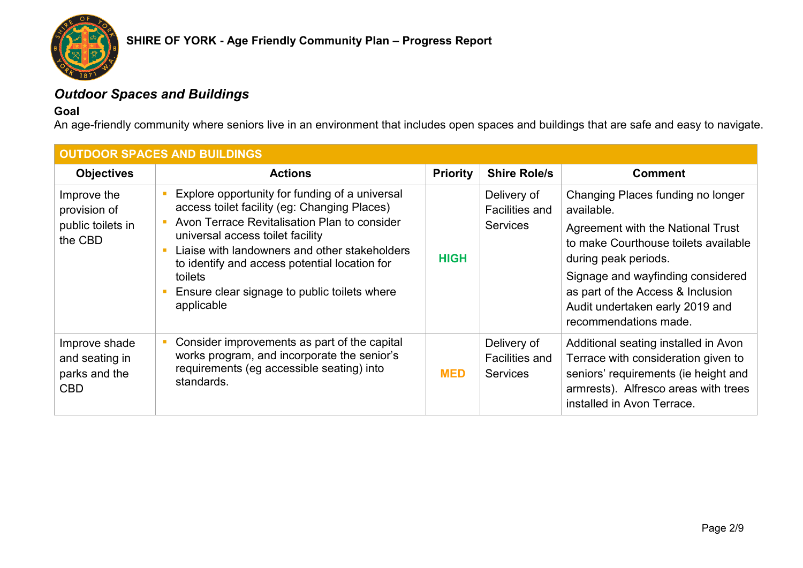

# *Outdoor Spaces and Buildings*

### **Goal**

An age-friendly community where seniors live in an environment that includes open spaces and buildings that are safe and easy to navigate.

| <b>OUTDOOR SPACES AND BUILDINGS</b>                            |                                                                                                                                                                                                                                                                                                                                                               |                 |                                                         |                                                                                                                                                                                                                                                                                            |  |
|----------------------------------------------------------------|---------------------------------------------------------------------------------------------------------------------------------------------------------------------------------------------------------------------------------------------------------------------------------------------------------------------------------------------------------------|-----------------|---------------------------------------------------------|--------------------------------------------------------------------------------------------------------------------------------------------------------------------------------------------------------------------------------------------------------------------------------------------|--|
| <b>Objectives</b>                                              | <b>Actions</b>                                                                                                                                                                                                                                                                                                                                                | <b>Priority</b> | <b>Shire Role/s</b>                                     | <b>Comment</b>                                                                                                                                                                                                                                                                             |  |
| Improve the<br>provision of<br>public toilets in<br>the CBD    | Explore opportunity for funding of a universal<br>access toilet facility (eg: Changing Places)<br>Avon Terrace Revitalisation Plan to consider<br>universal access toilet facility<br>Liaise with landowners and other stakeholders<br>to identify and access potential location for<br>toilets<br>Ensure clear signage to public toilets where<br>applicable | <b>HIGH</b>     | Delivery of<br>Facilities and<br><b>Services</b>        | Changing Places funding no longer<br>available.<br>Agreement with the National Trust<br>to make Courthouse toilets available<br>during peak periods.<br>Signage and wayfinding considered<br>as part of the Access & Inclusion<br>Audit undertaken early 2019 and<br>recommendations made. |  |
| Improve shade<br>and seating in<br>parks and the<br><b>CBD</b> | Consider improvements as part of the capital<br>works program, and incorporate the senior's<br>requirements (eg accessible seating) into<br>standards.                                                                                                                                                                                                        | <b>MED</b>      | Delivery of<br><b>Facilities and</b><br><b>Services</b> | Additional seating installed in Avon<br>Terrace with consideration given to<br>seniors' requirements (ie height and<br>armrests). Alfresco areas with trees<br>installed in Avon Terrace.                                                                                                  |  |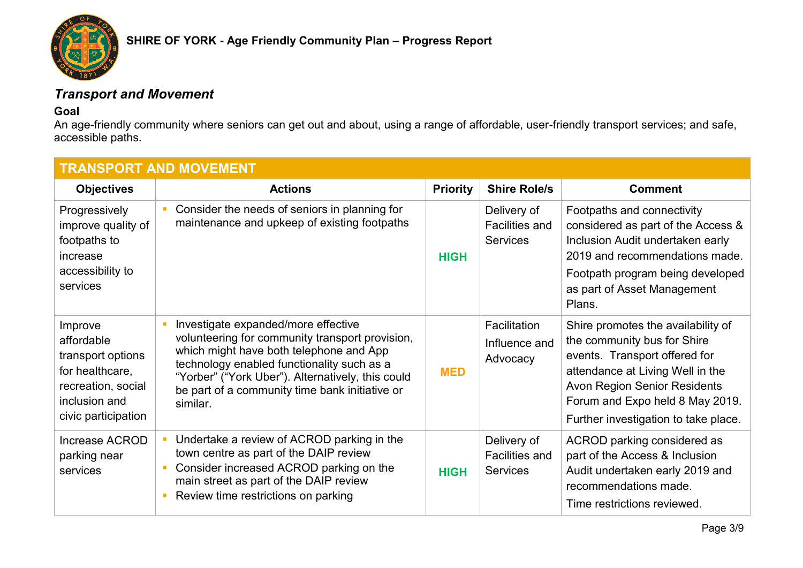

# *Transport and Movement*

### **Goal**

An age-friendly community where seniors can get out and about, using a range of affordable, user-friendly transport services; and safe, accessible paths.

| <b>TRANSPORT AND MOVEMENT</b>                                                                                               |                                                                                                                                                                                                                                                                                                    |                 |                                                         |                                                                                                                                                                                                                                                          |
|-----------------------------------------------------------------------------------------------------------------------------|----------------------------------------------------------------------------------------------------------------------------------------------------------------------------------------------------------------------------------------------------------------------------------------------------|-----------------|---------------------------------------------------------|----------------------------------------------------------------------------------------------------------------------------------------------------------------------------------------------------------------------------------------------------------|
| <b>Objectives</b>                                                                                                           | <b>Actions</b>                                                                                                                                                                                                                                                                                     | <b>Priority</b> | <b>Shire Role/s</b>                                     | <b>Comment</b>                                                                                                                                                                                                                                           |
| Progressively<br>improve quality of<br>footpaths to<br>increase                                                             | Consider the needs of seniors in planning for<br>maintenance and upkeep of existing footpaths                                                                                                                                                                                                      | <b>HIGH</b>     | Delivery of<br><b>Facilities and</b><br><b>Services</b> | Footpaths and connectivity<br>considered as part of the Access &<br>Inclusion Audit undertaken early<br>2019 and recommendations made.                                                                                                                   |
| accessibility to<br>services                                                                                                |                                                                                                                                                                                                                                                                                                    |                 |                                                         | Footpath program being developed<br>as part of Asset Management<br>Plans.                                                                                                                                                                                |
| Improve<br>affordable<br>transport options<br>for healthcare,<br>recreation, social<br>inclusion and<br>civic participation | Investigate expanded/more effective<br>volunteering for community transport provision,<br>which might have both telephone and App<br>technology enabled functionality such as a<br>"Yorber" ("York Uber"). Alternatively, this could<br>be part of a community time bank initiative or<br>similar. | <b>MED</b>      | Facilitation<br>Influence and<br>Advocacy               | Shire promotes the availability of<br>the community bus for Shire<br>events. Transport offered for<br>attendance at Living Well in the<br><b>Avon Region Senior Residents</b><br>Forum and Expo held 8 May 2019.<br>Further investigation to take place. |
| Increase ACROD<br>parking near<br>services                                                                                  | Undertake a review of ACROD parking in the<br>town centre as part of the DAIP review<br>Consider increased ACROD parking on the<br>main street as part of the DAIP review<br>Review time restrictions on parking                                                                                   | <b>HIGH</b>     | Delivery of<br><b>Facilities and</b><br><b>Services</b> | ACROD parking considered as<br>part of the Access & Inclusion<br>Audit undertaken early 2019 and<br>recommendations made.<br>Time restrictions reviewed.                                                                                                 |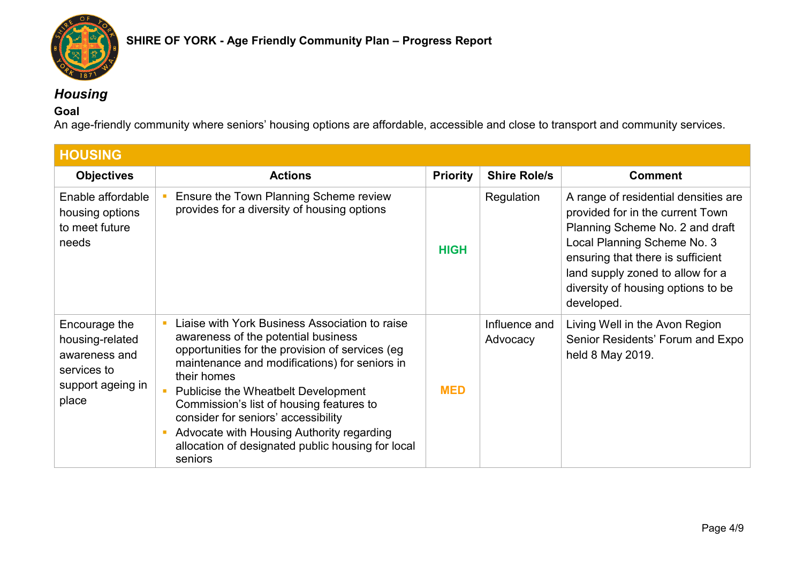

# *Housing*

### **Goal**

An age-friendly community where seniors' housing options are affordable, accessible and close to transport and community services.

| <b>HOUSING</b>                                                                                 |                                                                                                                                                                                                                                                                                                                                                                                                                                                 |                 |                           |                                                                                                                                                                                                                                                                         |
|------------------------------------------------------------------------------------------------|-------------------------------------------------------------------------------------------------------------------------------------------------------------------------------------------------------------------------------------------------------------------------------------------------------------------------------------------------------------------------------------------------------------------------------------------------|-----------------|---------------------------|-------------------------------------------------------------------------------------------------------------------------------------------------------------------------------------------------------------------------------------------------------------------------|
| <b>Objectives</b>                                                                              | <b>Actions</b>                                                                                                                                                                                                                                                                                                                                                                                                                                  | <b>Priority</b> | <b>Shire Role/s</b>       | <b>Comment</b>                                                                                                                                                                                                                                                          |
| Enable affordable<br>housing options<br>to meet future<br>needs                                | Ensure the Town Planning Scheme review<br>provides for a diversity of housing options                                                                                                                                                                                                                                                                                                                                                           | <b>HIGH</b>     | Regulation                | A range of residential densities are<br>provided for in the current Town<br>Planning Scheme No. 2 and draft<br>Local Planning Scheme No. 3<br>ensuring that there is sufficient<br>land supply zoned to allow for a<br>diversity of housing options to be<br>developed. |
| Encourage the<br>housing-related<br>awareness and<br>services to<br>support ageing in<br>place | Liaise with York Business Association to raise<br>awareness of the potential business<br>opportunities for the provision of services (eg<br>maintenance and modifications) for seniors in<br>their homes<br>Publicise the Wheatbelt Development<br>Commission's list of housing features to<br>consider for seniors' accessibility<br>Advocate with Housing Authority regarding<br>allocation of designated public housing for local<br>seniors | <b>MED</b>      | Influence and<br>Advocacy | Living Well in the Avon Region<br>Senior Residents' Forum and Expo<br>held 8 May 2019.                                                                                                                                                                                  |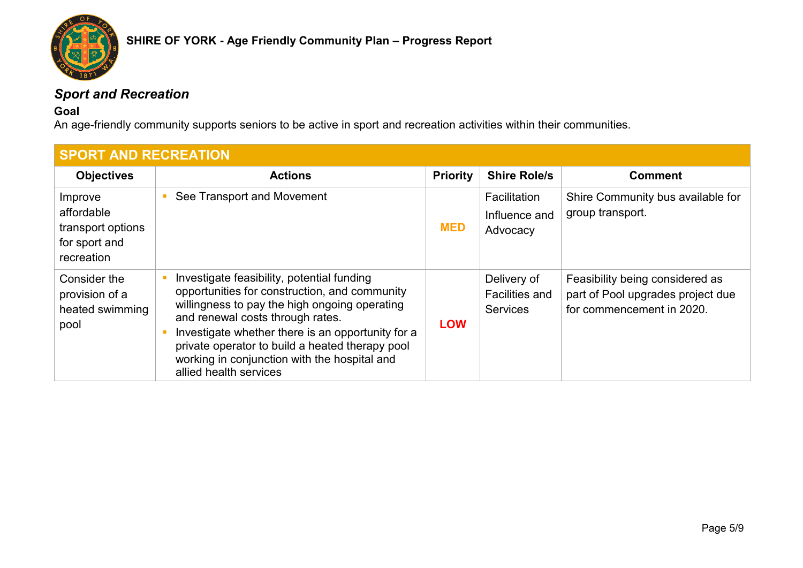

# *Sport and Recreation*

### **Goal**

An age-friendly community supports seniors to be active in sport and recreation activities within their communities.

| <b>SPORT AND RECREATION</b>                                               |                                                                                                                                                                                                                                                                                                                                                                    |                 |                                                         |                                                                                                   |
|---------------------------------------------------------------------------|--------------------------------------------------------------------------------------------------------------------------------------------------------------------------------------------------------------------------------------------------------------------------------------------------------------------------------------------------------------------|-----------------|---------------------------------------------------------|---------------------------------------------------------------------------------------------------|
| <b>Objectives</b>                                                         | <b>Actions</b>                                                                                                                                                                                                                                                                                                                                                     | <b>Priority</b> | <b>Shire Role/s</b>                                     | <b>Comment</b>                                                                                    |
| Improve<br>affordable<br>transport options<br>for sport and<br>recreation | See Transport and Movement                                                                                                                                                                                                                                                                                                                                         | <b>MED</b>      | Facilitation<br>Influence and<br>Advocacy               | Shire Community bus available for<br>group transport.                                             |
| Consider the<br>provision of a<br>heated swimming<br>pool                 | Investigate feasibility, potential funding<br>opportunities for construction, and community<br>willingness to pay the high ongoing operating<br>and renewal costs through rates.<br>Investigate whether there is an opportunity for a<br>private operator to build a heated therapy pool<br>working in conjunction with the hospital and<br>allied health services | <b>LOW</b>      | Delivery of<br><b>Facilities and</b><br><b>Services</b> | Feasibility being considered as<br>part of Pool upgrades project due<br>for commencement in 2020. |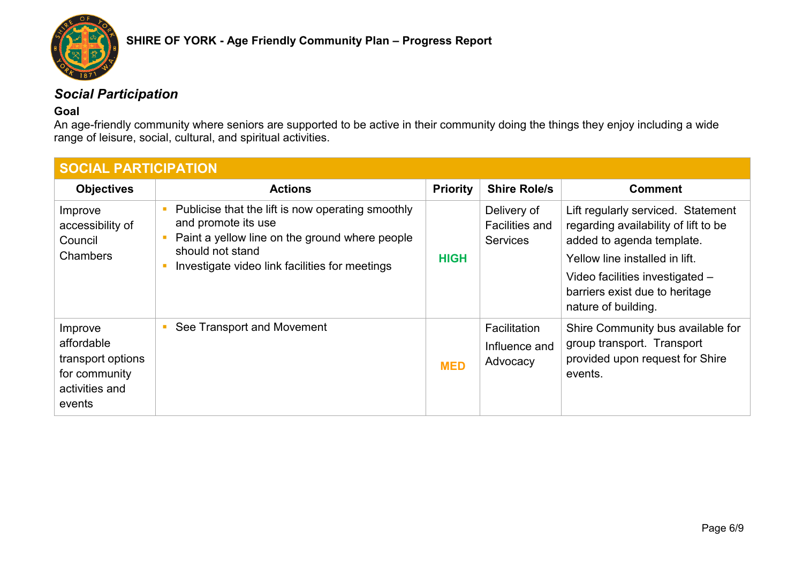

## *Social Participation*

### **Goal**

An age-friendly community where seniors are supported to be active in their community doing the things they enjoy including a wide range of leisure, social, cultural, and spiritual activities.

| <b>SOCIAL PARTICIPATION</b>                                                             |                                                                                                                                                                                                  |                 |                                                  |                                                                                                                                                                                                                                       |  |
|-----------------------------------------------------------------------------------------|--------------------------------------------------------------------------------------------------------------------------------------------------------------------------------------------------|-----------------|--------------------------------------------------|---------------------------------------------------------------------------------------------------------------------------------------------------------------------------------------------------------------------------------------|--|
| <b>Objectives</b>                                                                       | <b>Actions</b>                                                                                                                                                                                   | <b>Priority</b> | <b>Shire Role/s</b>                              | <b>Comment</b>                                                                                                                                                                                                                        |  |
| Improve<br>accessibility of<br>Council<br><b>Chambers</b>                               | Publicise that the lift is now operating smoothly<br>and promote its use<br>Paint a yellow line on the ground where people<br>should not stand<br>Investigate video link facilities for meetings | <b>HIGH</b>     | Delivery of<br>Facilities and<br><b>Services</b> | Lift regularly serviced. Statement<br>regarding availability of lift to be<br>added to agenda template.<br>Yellow line installed in lift.<br>Video facilities investigated -<br>barriers exist due to heritage<br>nature of building. |  |
| Improve<br>affordable<br>transport options<br>for community<br>activities and<br>events | See Transport and Movement                                                                                                                                                                       | <b>MED</b>      | Facilitation<br>Influence and<br>Advocacy        | Shire Community bus available for<br>group transport. Transport<br>provided upon request for Shire<br>events.                                                                                                                         |  |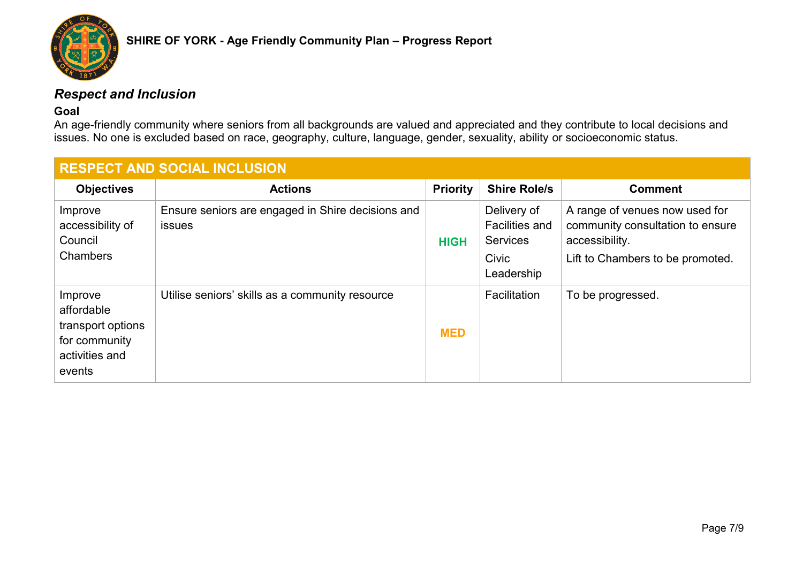

## *Respect and Inclusion*

#### **Goal**

An age-friendly community where seniors from all backgrounds are valued and appreciated and they contribute to local decisions and issues. No one is excluded based on race, geography, culture, language, gender, sexuality, ability or socioeconomic status.

| <b>RESPECT AND SOCIAL INCLUSION</b>                                                     |                                                                    |                 |                                                                                |                                                                                                                          |
|-----------------------------------------------------------------------------------------|--------------------------------------------------------------------|-----------------|--------------------------------------------------------------------------------|--------------------------------------------------------------------------------------------------------------------------|
| <b>Objectives</b>                                                                       | <b>Actions</b>                                                     | <b>Priority</b> | <b>Shire Role/s</b>                                                            | <b>Comment</b>                                                                                                           |
| Improve<br>accessibility of<br>Council<br>Chambers                                      | Ensure seniors are engaged in Shire decisions and<br><b>issues</b> | <b>HIGH</b>     | Delivery of<br><b>Facilities and</b><br><b>Services</b><br>Civic<br>Leadership | A range of venues now used for<br>community consultation to ensure<br>accessibility.<br>Lift to Chambers to be promoted. |
| Improve<br>affordable<br>transport options<br>for community<br>activities and<br>events | Utilise seniors' skills as a community resource                    | <b>MED</b>      | Facilitation                                                                   | To be progressed.                                                                                                        |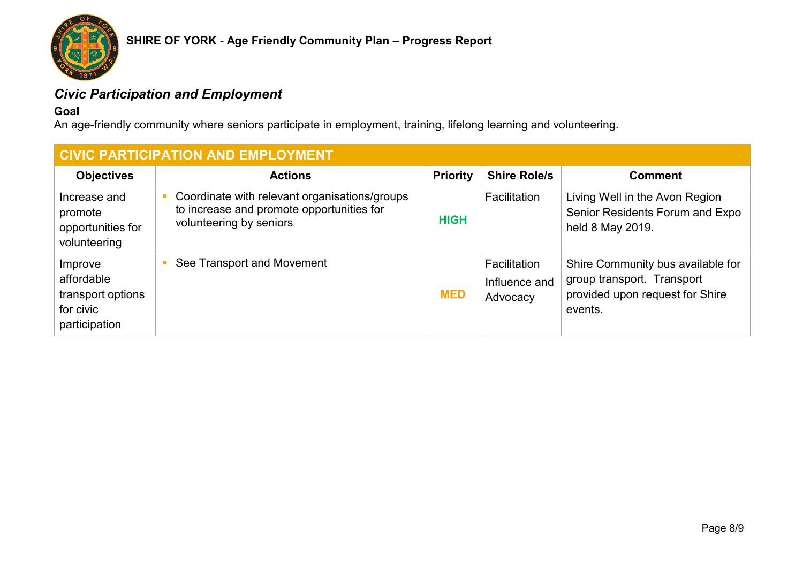

# *Civic Participation and Employment*

### **Goal**

An age-friendly community where seniors participate in employment, training, lifelong learning and volunteering.

| <b>CIVIC PARTICIPATION AND EMPLOYMENT</b>                                |                                                                                                                       |                 |                                           |                                                                                                               |  |
|--------------------------------------------------------------------------|-----------------------------------------------------------------------------------------------------------------------|-----------------|-------------------------------------------|---------------------------------------------------------------------------------------------------------------|--|
| <b>Objectives</b>                                                        | <b>Actions</b>                                                                                                        | <b>Priority</b> | <b>Shire Role/s</b>                       | <b>Comment</b>                                                                                                |  |
| Increase and<br>promote<br>opportunities for<br>volunteering             | Coordinate with relevant organisations/groups<br>to increase and promote opportunities for<br>volunteering by seniors | <b>HIGH</b>     | <b>Facilitation</b>                       | Living Well in the Avon Region<br>Senior Residents Forum and Expo<br>held 8 May 2019.                         |  |
| Improve<br>affordable<br>transport options<br>for civic<br>participation | See Transport and Movement<br>$\mathcal{L}_{\text{max}}$                                                              | <b>MED</b>      | Facilitation<br>Influence and<br>Advocacy | Shire Community bus available for<br>group transport. Transport<br>provided upon request for Shire<br>events. |  |